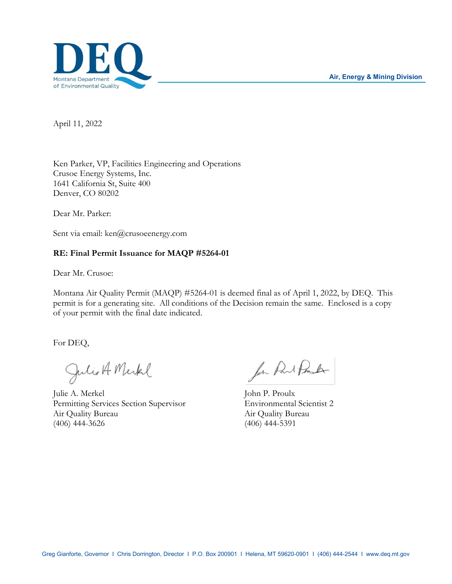

April 11, 2022

Ken Parker, VP, Facilities Engineering and Operations Crusoe Energy Systems, Inc. 1641 California St, Suite 400 Denver, CO 80202

Dear Mr. Parker:

Sent via email: ken@crusoeenergy.com

## **RE: Final Permit Issuance for MAQP #5264-01**

Dear Mr. Crusoe:

Montana Air Quality Permit (MAQP) #5264-01 is deemed final as of April 1, 2022, by DEQ. This permit is for a generating site. All conditions of the Decision remain the same. Enclosed is a copy of your permit with the final date indicated.

For DEQ,

Julio A Merkel

Julie A. Merkel John P. Proulx Permitting Services Section Supervisor Environmental Scientist 2 Air Quality Bureau Air Quality Bureau (406) 444-3626 (406) 444-5391

for Part Proute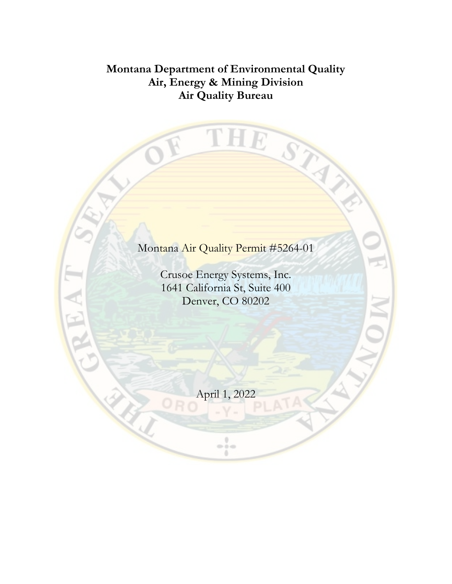# **Montana Department of Environmental Quality Air, Energy & Mining Division Air Quality Bureau**

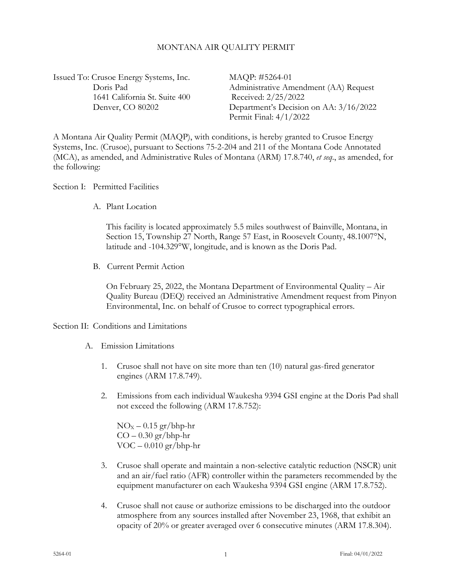#### MONTANA AIR QUALITY PERMIT

Issued To: Crusoe Energy Systems, Inc. MAQP: #5264-01 1641 California St. Suite 400 Received: 2/25/2022

Doris Pad Administrative Amendment (AA) Request Denver, CO 80202 Department's Decision on AA: 3/16/2022 Permit Final: 4/1/2022

A Montana Air Quality Permit (MAQP), with conditions, is hereby granted to Crusoe Energy Systems, Inc. (Crusoe), pursuant to Sections 75-2-204 and 211 of the Montana Code Annotated (MCA), as amended, and Administrative Rules of Montana (ARM) 17.8.740, *et seq*., as amended, for the following:

#### Section I: Permitted Facilities

A. Plant Location

This facility is located approximately 5.5 miles southwest of Bainville, Montana, in Section 15, Township 27 North, Range 57 East, in Roosevelt County, 48.1007°N, latitude and -104.329°W, longitude, and is known as the Doris Pad.

B. Current Permit Action

On February 25, 2022, the Montana Department of Environmental Quality – Air Quality Bureau (DEQ) received an Administrative Amendment request from Pinyon Environmental, Inc. on behalf of Crusoe to correct typographical errors.

#### Section II: Conditions and Limitations

- <span id="page-2-1"></span>A. Emission Limitations
	- 1. Crusoe shall not have on site more than ten (10) natural gas-fired generator engines (ARM 17.8.749).
	- 2. Emissions from each individual Waukesha 9394 GSI engine at the Doris Pad shall not exceed the following (ARM 17.8.752):

 $NO<sub>x</sub> - 0.15$  gr/bhp-hr  $CO - 0.30$  gr/bhp-hr  $VOC - 0.010 gr/bhp-hr$ 

- 3. Crusoe shall operate and maintain a non-selective catalytic reduction (NSCR) unit and an air/fuel ratio (AFR) controller within the parameters recommended by the equipment manufacturer on each Waukesha 9394 GSI engine (ARM 17.8.752).
- <span id="page-2-0"></span>4. Crusoe shall not cause or authorize emissions to be discharged into the outdoor atmosphere from any sources installed after November 23, 1968, that exhibit an opacity of 20% or greater averaged over 6 consecutive minutes (ARM 17.8.304).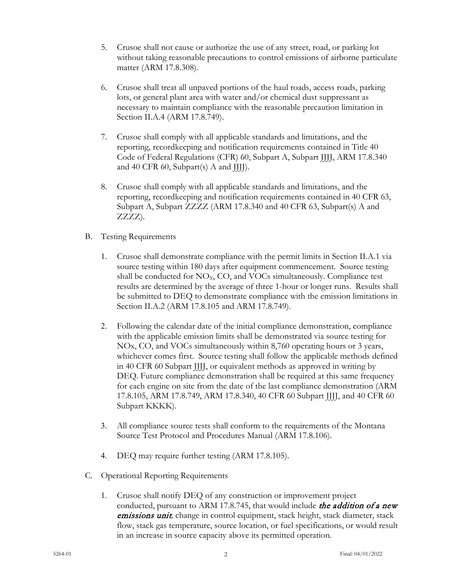- 5. Crusoe shall not cause or authorize the use of any street, road, or parking lot without taking reasonable precautions to control emissions of airborne particulate matter (ARM 17.8.308).
- 6. Crusoe shall treat all unpaved portions of the haul roads, access roads, parking lots, or general plant area with water and/or chemical dust suppressant as necessary to maintain compliance with the reasonable precaution limitation in Section II.A[.4](#page-2-0) (ARM 17.8.749).
- 7. Crusoe shall comply with all applicable standards and limitations, and the reporting, recordkeeping and notification requirements contained in Title 40 Code of Federal Regulations (CFR) 60, Subpart A, Subpart JJJJ, ARM 17.8.340 and 40 CFR 60, Subpart(s) A and JJJJ).
- 8. Crusoe shall comply with all applicable standards and limitations, and the reporting, recordkeeping and notification requirements contained in 40 CFR 63, Subpart A, Subpart ZZZZ (ARM 17.8.340 and 40 CFR 63, Subpart(s) A and ZZZZ).
- B. Testing Requirements
	- 1. Crusoe shall demonstrate compliance with the permit limits in Section II.A[.1](#page-2-1) via source testing within 180 days after equipment commencement. Source testing shall be conducted for  $NO<sub>x</sub>$ ,  $CO$ , and  $VO<sub>Cs</sub>$  simultaneously. Compliance test results are determined by the average of three 1-hour or longer runs. Results shall be submitted to DEQ to demonstrate compliance with the emission limitations in Section II.A[.2](#page-2-1) (ARM 17.8.105 and ARM 17.8.749).
	- 2. Following the calendar date of the initial compliance demonstration, compliance with the applicable emission limits shall be demonstrated via source testing for NOx, CO, and VOCs simultaneously within 8,760 operating hours or 3 years, whichever comes first. Source testing shall follow the applicable methods defined in 40 CFR 60 Subpart JJJJ, or equivalent methods as approved in writing by DEQ. Future compliance demonstration shall be required at this same frequency for each engine on site from the date of the last compliance demonstration (ARM 17.8.105, ARM 17.8.749, ARM 17.8.340, 40 CFR 60 Subpart JJJJ, and 40 CFR 60 Subpart KKKK).
	- 3. All compliance source tests shall conform to the requirements of the Montana Source Test Protocol and Procedures Manual (ARM 17.8.106).
	- 4. DEQ may require further testing (ARM 17.8.105).
- C. Operational Reporting Requirements
	- 1. Crusoe shall notify DEQ of any construction or improvement project conducted, pursuant to ARM 17.8.745, that would include the addition of a new emissions unit*,* change in control equipment, stack height, stack diameter, stack flow, stack gas temperature, source location, or fuel specifications, or would result in an increase in source capacity above its permitted operation.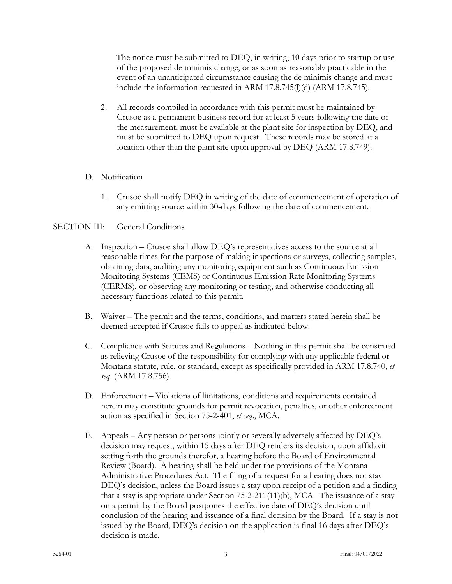The notice must be submitted to DEQ, in writing, 10 days prior to startup or use of the proposed de minimis change, or as soon as reasonably practicable in the event of an unanticipated circumstance causing the de minimis change and must include the information requested in ARM 17.8.745(l)(d) (ARM 17.8.745).

2. All records compiled in accordance with this permit must be maintained by Crusoe as a permanent business record for at least 5 years following the date of the measurement, must be available at the plant site for inspection by DEQ, and must be submitted to DEQ upon request. These records may be stored at a location other than the plant site upon approval by DEQ (ARM 17.8.749).

## D. Notification

1. Crusoe shall notify DEQ in writing of the date of commencement of operation of any emitting source within 30-days following the date of commencement.

## SECTION III: General Conditions

- A. Inspection Crusoe shall allow DEQ's representatives access to the source at all reasonable times for the purpose of making inspections or surveys, collecting samples, obtaining data, auditing any monitoring equipment such as Continuous Emission Monitoring Systems (CEMS) or Continuous Emission Rate Monitoring Systems (CERMS), or observing any monitoring or testing, and otherwise conducting all necessary functions related to this permit.
- B. Waiver The permit and the terms, conditions, and matters stated herein shall be deemed accepted if Crusoe fails to appeal as indicated below.
- C. Compliance with Statutes and Regulations Nothing in this permit shall be construed as relieving Crusoe of the responsibility for complying with any applicable federal or Montana statute, rule, or standard, except as specifically provided in ARM 17.8.740, *et seq*. (ARM 17.8.756).
- D. Enforcement Violations of limitations, conditions and requirements contained herein may constitute grounds for permit revocation, penalties, or other enforcement action as specified in Section 75-2-401, *et seq*., MCA.
- E. Appeals Any person or persons jointly or severally adversely affected by DEQ's decision may request, within 15 days after DEQ renders its decision, upon affidavit setting forth the grounds therefor, a hearing before the Board of Environmental Review (Board). A hearing shall be held under the provisions of the Montana Administrative Procedures Act. The filing of a request for a hearing does not stay DEQ's decision, unless the Board issues a stay upon receipt of a petition and a finding that a stay is appropriate under Section  $75-2-211(11)(b)$ , MCA. The issuance of a stay on a permit by the Board postpones the effective date of DEQ's decision until conclusion of the hearing and issuance of a final decision by the Board. If a stay is not issued by the Board, DEQ's decision on the application is final 16 days after DEQ's decision is made.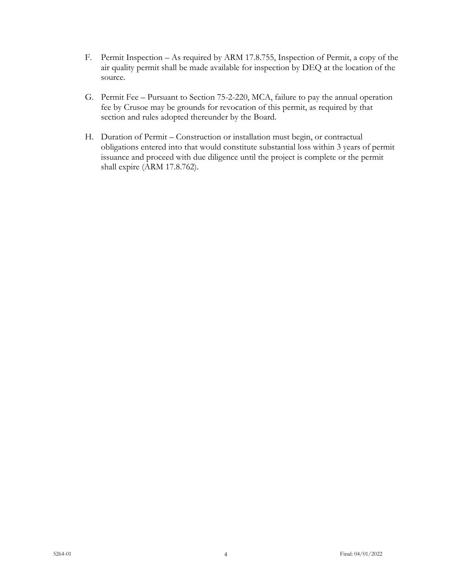- F. Permit Inspection As required by ARM 17.8.755, Inspection of Permit, a copy of the air quality permit shall be made available for inspection by DEQ at the location of the source.
- G. Permit Fee Pursuant to Section 75-2-220, MCA, failure to pay the annual operation fee by Crusoe may be grounds for revocation of this permit, as required by that section and rules adopted thereunder by the Board.
- H. Duration of Permit Construction or installation must begin, or contractual obligations entered into that would constitute substantial loss within 3 years of permit issuance and proceed with due diligence until the project is complete or the permit shall expire (ARM 17.8.762).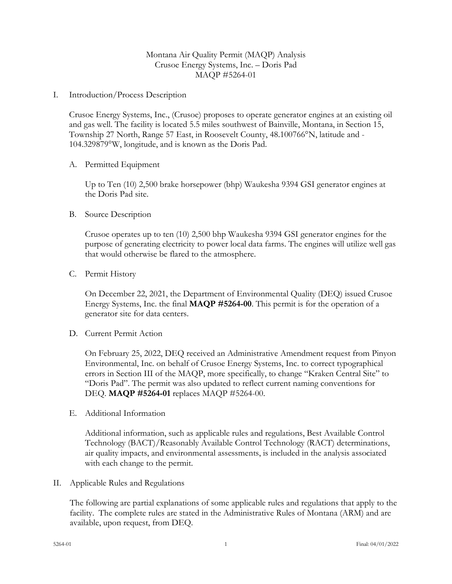## Montana Air Quality Permit (MAQP) Analysis Crusoe Energy Systems, Inc. – Doris Pad MAQP #5264-01

I. Introduction/Process Description

Crusoe Energy Systems, Inc., (Crusoe) proposes to operate generator engines at an existing oil and gas well. The facility is located 5.5 miles southwest of Bainville, Montana, in Section 15, Township 27 North, Range 57 East, in Roosevelt County, 48.100766°N, latitude and - 104.329879°W, longitude, and is known as the Doris Pad.

A. Permitted Equipment

Up to Ten (10) 2,500 brake horsepower (bhp) Waukesha 9394 GSI generator engines at the Doris Pad site.

#### B. Source Description

Crusoe operates up to ten (10) 2,500 bhp Waukesha 9394 GSI generator engines for the purpose of generating electricity to power local data farms. The engines will utilize well gas that would otherwise be flared to the atmosphere.

C. Permit History

On December 22, 2021, the Department of Environmental Quality (DEQ) issued Crusoe Energy Systems, Inc. the final **MAQP #5264-00**. This permit is for the operation of a generator site for data centers.

D. Current Permit Action

On February 25, 2022, DEQ received an Administrative Amendment request from Pinyon Environmental, Inc. on behalf of Crusoe Energy Systems, Inc. to correct typographical errors in Section III of the MAQP, more specifically, to change "Kraken Central Site" to "Doris Pad". The permit was also updated to reflect current naming conventions for DEQ. **MAQP #5264-01** replaces MAQP #5264-00.

E. Additional Information

Additional information, such as applicable rules and regulations, Best Available Control Technology (BACT)/Reasonably Available Control Technology (RACT) determinations, air quality impacts, and environmental assessments, is included in the analysis associated with each change to the permit.

II. Applicable Rules and Regulations

The following are partial explanations of some applicable rules and regulations that apply to the facility. The complete rules are stated in the Administrative Rules of Montana (ARM) and are available, upon request, from DEQ.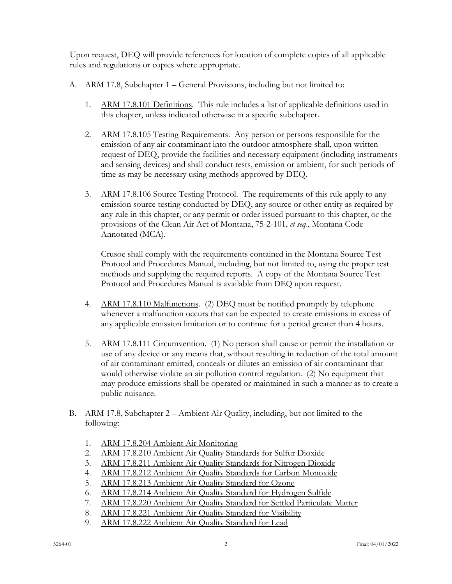Upon request, DEQ will provide references for location of complete copies of all applicable rules and regulations or copies where appropriate.

- A. ARM 17.8, Subchapter 1 General Provisions, including but not limited to:
	- 1. ARM 17.8.101 Definitions. This rule includes a list of applicable definitions used in this chapter, unless indicated otherwise in a specific subchapter.
	- 2. ARM 17.8.105 Testing Requirements. Any person or persons responsible for the emission of any air contaminant into the outdoor atmosphere shall, upon written request of DEQ, provide the facilities and necessary equipment (including instruments and sensing devices) and shall conduct tests, emission or ambient, for such periods of time as may be necessary using methods approved by DEQ.
	- 3. ARM 17.8.106 Source Testing Protocol. The requirements of this rule apply to any emission source testing conducted by DEQ, any source or other entity as required by any rule in this chapter, or any permit or order issued pursuant to this chapter, or the provisions of the Clean Air Act of Montana, 75-2-101, *et seq*., Montana Code Annotated (MCA).

Crusoe shall comply with the requirements contained in the Montana Source Test Protocol and Procedures Manual, including, but not limited to, using the proper test methods and supplying the required reports. A copy of the Montana Source Test Protocol and Procedures Manual is available from DEQ upon request.

- 4. ARM 17.8.110 Malfunctions. (2) DEQ must be notified promptly by telephone whenever a malfunction occurs that can be expected to create emissions in excess of any applicable emission limitation or to continue for a period greater than 4 hours.
- 5. ARM 17.8.111 Circumvention. (1) No person shall cause or permit the installation or use of any device or any means that, without resulting in reduction of the total amount of air contaminant emitted, conceals or dilutes an emission of air contaminant that would otherwise violate an air pollution control regulation. (2) No equipment that may produce emissions shall be operated or maintained in such a manner as to create a public nuisance.
- B. ARM 17.8, Subchapter 2 Ambient Air Quality, including, but not limited to the following:
	- 1. ARM 17.8.204 Ambient Air Monitoring
	- 2. ARM 17.8.210 Ambient Air Quality Standards for Sulfur Dioxide
	- 3. ARM 17.8.211 Ambient Air Quality Standards for Nitrogen Dioxide
	- 4. ARM 17.8.212 Ambient Air Quality Standards for Carbon Monoxide
	- 5. ARM 17.8.213 Ambient Air Quality Standard for Ozone
	- 6. ARM 17.8.214 Ambient Air Quality Standard for Hydrogen Sulfide
	- 7. ARM 17.8.220 Ambient Air Quality Standard for Settled Particulate Matter
	- 8. ARM 17.8.221 Ambient Air Quality Standard for Visibility
	- 9. ARM 17.8.222 Ambient Air Quality Standard for Lead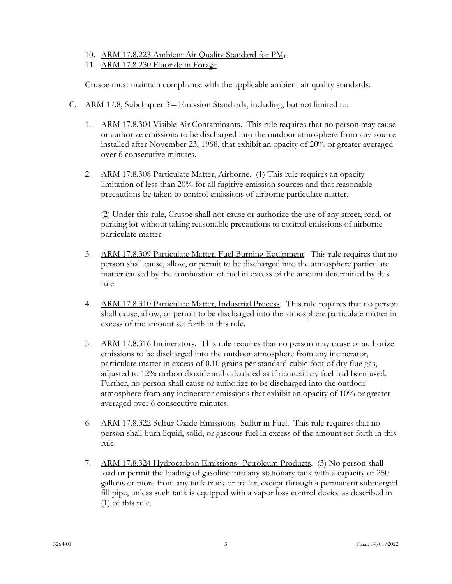- 10. ARM 17.8.223 Ambient Air Quality Standard for PM<sub>10</sub>
- 11. ARM 17.8.230 Fluoride in Forage

Crusoe must maintain compliance with the applicable ambient air quality standards.

- C. ARM 17.8, Subchapter 3 Emission Standards, including, but not limited to:
	- 1. ARM 17.8.304 Visible Air Contaminants. This rule requires that no person may cause or authorize emissions to be discharged into the outdoor atmosphere from any source installed after November 23, 1968, that exhibit an opacity of 20% or greater averaged over 6 consecutive minutes.
	- 2. ARM 17.8.308 Particulate Matter, Airborne. (1) This rule requires an opacity limitation of less than 20% for all fugitive emission sources and that reasonable precautions be taken to control emissions of airborne particulate matter.

(2) Under this rule, Crusoe shall not cause or authorize the use of any street, road, or parking lot without taking reasonable precautions to control emissions of airborne particulate matter.

- 3. ARM 17.8.309 Particulate Matter, Fuel Burning Equipment. This rule requires that no person shall cause, allow, or permit to be discharged into the atmosphere particulate matter caused by the combustion of fuel in excess of the amount determined by this rule.
- 4. ARM 17.8.310 Particulate Matter, Industrial Process. This rule requires that no person shall cause, allow, or permit to be discharged into the atmosphere particulate matter in excess of the amount set forth in this rule.
- 5. ARM 17.8.316 Incinerators. This rule requires that no person may cause or authorize emissions to be discharged into the outdoor atmosphere from any incinerator, particulate matter in excess of 0.10 grains per standard cubic foot of dry flue gas, adjusted to 12% carbon dioxide and calculated as if no auxiliary fuel had been used. Further, no person shall cause or authorize to be discharged into the outdoor atmosphere from any incinerator emissions that exhibit an opacity of 10% or greater averaged over 6 consecutive minutes.
- 6. ARM 17.8.322 Sulfur Oxide Emissions--Sulfur in Fuel. This rule requires that no person shall burn liquid, solid, or gaseous fuel in excess of the amount set forth in this rule.
- 7. ARM 17.8.324 Hydrocarbon Emissions--Petroleum Products. (3) No person shall load or permit the loading of gasoline into any stationary tank with a capacity of 250 gallons or more from any tank truck or trailer, except through a permanent submerged fill pipe, unless such tank is equipped with a vapor loss control device as described in (1) of this rule.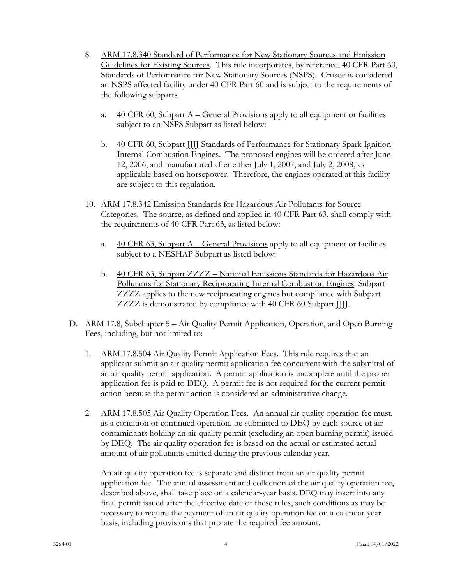- 8. ARM 17.8.340 Standard of Performance for New Stationary Sources and Emission Guidelines for Existing Sources. This rule incorporates, by reference, 40 CFR Part 60, Standards of Performance for New Stationary Sources (NSPS). Crusoe is considered an NSPS affected facility under 40 CFR Part 60 and is subject to the requirements of the following subparts.
	- a.  $40$  CFR 60, Subpart A General Provisions apply to all equipment or facilities subject to an NSPS Subpart as listed below:
	- b. 40 CFR 60, Subpart JJJJ Standards of Performance for Stationary Spark Ignition Internal Combustion Engines. The proposed engines will be ordered after June 12, 2006, and manufactured after either July 1, 2007, and July 2, 2008, as applicable based on horsepower. Therefore, the engines operated at this facility are subject to this regulation.
- 10. ARM 17.8.342 Emission Standards for Hazardous Air Pollutants for Source Categories. The source, as defined and applied in 40 CFR Part 63, shall comply with the requirements of 40 CFR Part 63, as listed below:
	- a. 40 CFR 63, Subpart  $A -$ General Provisions apply to all equipment or facilities subject to a NESHAP Subpart as listed below:
	- b. 40 CFR 63, Subpart ZZZZ National Emissions Standards for Hazardous Air Pollutants for Stationary Reciprocating Internal Combustion Engines. Subpart ZZZZ applies to the new reciprocating engines but compliance with Subpart ZZZZ is demonstrated by compliance with 40 CFR 60 Subpart JJJJ.
- D. ARM 17.8, Subchapter 5 Air Quality Permit Application, Operation, and Open Burning Fees, including, but not limited to:
	- 1. ARM 17.8.504 Air Quality Permit Application Fees. This rule requires that an applicant submit an air quality permit application fee concurrent with the submittal of an air quality permit application. A permit application is incomplete until the proper application fee is paid to DEQ. A permit fee is not required for the current permit action because the permit action is considered an administrative change.
	- 2. ARM 17.8.505 Air Quality Operation Fees. An annual air quality operation fee must, as a condition of continued operation, be submitted to DEQ by each source of air contaminants holding an air quality permit (excluding an open burning permit) issued by DEQ. The air quality operation fee is based on the actual or estimated actual amount of air pollutants emitted during the previous calendar year.

An air quality operation fee is separate and distinct from an air quality permit application fee. The annual assessment and collection of the air quality operation fee, described above, shall take place on a calendar-year basis. DEQ may insert into any final permit issued after the effective date of these rules, such conditions as may be necessary to require the payment of an air quality operation fee on a calendar-year basis, including provisions that prorate the required fee amount.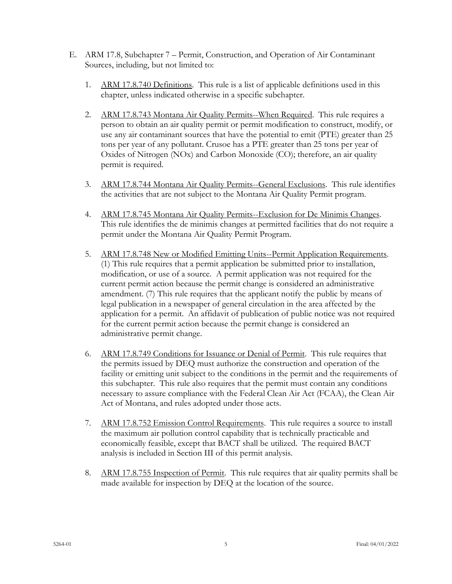- E. ARM 17.8, Subchapter 7 Permit, Construction, and Operation of Air Contaminant Sources, including, but not limited to:
	- 1. ARM 17.8.740 Definitions. This rule is a list of applicable definitions used in this chapter, unless indicated otherwise in a specific subchapter.
	- 2. ARM 17.8.743 Montana Air Quality Permits--When Required. This rule requires a person to obtain an air quality permit or permit modification to construct, modify, or use any air contaminant sources that have the potential to emit (PTE) greater than 25 tons per year of any pollutant. Crusoe has a PTE greater than 25 tons per year of Oxides of Nitrogen (NOx) and Carbon Monoxide (CO); therefore, an air quality permit is required.
	- 3. ARM 17.8.744 Montana Air Quality Permits--General Exclusions. This rule identifies the activities that are not subject to the Montana Air Quality Permit program.
	- 4. ARM 17.8.745 Montana Air Quality Permits--Exclusion for De Minimis Changes. This rule identifies the de minimis changes at permitted facilities that do not require a permit under the Montana Air Quality Permit Program.
	- 5. ARM 17.8.748 New or Modified Emitting Units--Permit Application Requirements. (1) This rule requires that a permit application be submitted prior to installation, modification, or use of a source. A permit application was not required for the current permit action because the permit change is considered an administrative amendment. (7) This rule requires that the applicant notify the public by means of legal publication in a newspaper of general circulation in the area affected by the application for a permit. An affidavit of publication of public notice was not required for the current permit action because the permit change is considered an administrative permit change.
	- 6. ARM 17.8.749 Conditions for Issuance or Denial of Permit. This rule requires that the permits issued by DEQ must authorize the construction and operation of the facility or emitting unit subject to the conditions in the permit and the requirements of this subchapter. This rule also requires that the permit must contain any conditions necessary to assure compliance with the Federal Clean Air Act (FCAA), the Clean Air Act of Montana, and rules adopted under those acts.
	- 7. ARM 17.8.752 Emission Control Requirements. This rule requires a source to install the maximum air pollution control capability that is technically practicable and economically feasible, except that BACT shall be utilized. The required BACT analysis is included in Section III of this permit analysis.
	- 8. ARM 17.8.755 Inspection of Permit. This rule requires that air quality permits shall be made available for inspection by DEQ at the location of the source.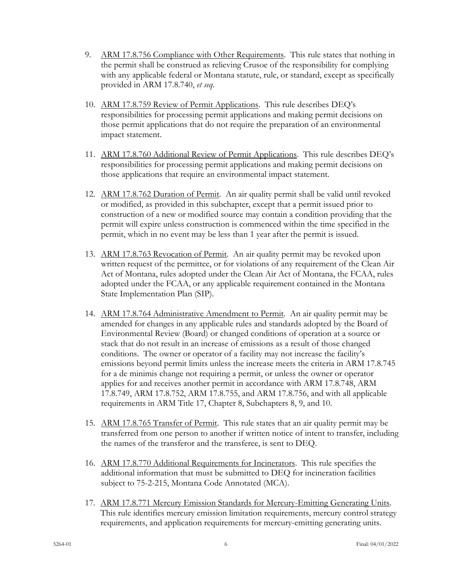- 9. ARM 17.8.756 Compliance with Other Requirements. This rule states that nothing in the permit shall be construed as relieving Crusoe of the responsibility for complying with any applicable federal or Montana statute, rule, or standard, except as specifically provided in ARM 17.8.740, *et seq*.
- 10. ARM 17.8.759 Review of Permit Applications. This rule describes DEQ's responsibilities for processing permit applications and making permit decisions on those permit applications that do not require the preparation of an environmental impact statement.
- 11. ARM 17.8.760 Additional Review of Permit Applications. This rule describes DEQ's responsibilities for processing permit applications and making permit decisions on those applications that require an environmental impact statement.
- 12. ARM 17.8.762 Duration of Permit. An air quality permit shall be valid until revoked or modified, as provided in this subchapter, except that a permit issued prior to construction of a new or modified source may contain a condition providing that the permit will expire unless construction is commenced within the time specified in the permit, which in no event may be less than 1 year after the permit is issued.
- 13. ARM 17.8.763 Revocation of Permit. An air quality permit may be revoked upon written request of the permittee, or for violations of any requirement of the Clean Air Act of Montana, rules adopted under the Clean Air Act of Montana, the FCAA, rules adopted under the FCAA, or any applicable requirement contained in the Montana State Implementation Plan (SIP).
- 14. ARM 17.8.764 Administrative Amendment to Permit. An air quality permit may be amended for changes in any applicable rules and standards adopted by the Board of Environmental Review (Board) or changed conditions of operation at a source or stack that do not result in an increase of emissions as a result of those changed conditions. The owner or operator of a facility may not increase the facility's emissions beyond permit limits unless the increase meets the criteria in ARM 17.8.745 for a de minimis change not requiring a permit, or unless the owner or operator applies for and receives another permit in accordance with ARM 17.8.748, ARM 17.8.749, ARM 17.8.752, ARM 17.8.755, and ARM 17.8.756, and with all applicable requirements in ARM Title 17, Chapter 8, Subchapters 8, 9, and 10.
- 15. ARM 17.8.765 Transfer of Permit. This rule states that an air quality permit may be transferred from one person to another if written notice of intent to transfer, including the names of the transferor and the transferee, is sent to DEQ.
- 16. ARM 17.8.770 Additional Requirements for Incinerators. This rule specifies the additional information that must be submitted to DEQ for incineration facilities subject to 75-2-215, Montana Code Annotated (MCA).
- 17. ARM 17.8.771 Mercury Emission Standards for Mercury-Emitting Generating Units. This rule identifies mercury emission limitation requirements, mercury control strategy requirements, and application requirements for mercury-emitting generating units.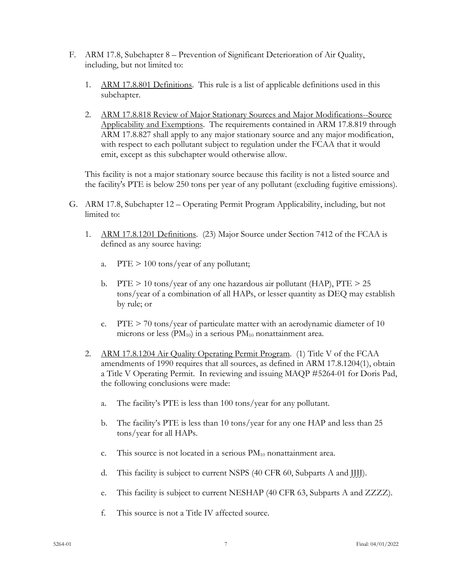- F. ARM 17.8, Subchapter 8 Prevention of Significant Deterioration of Air Quality, including, but not limited to:
	- 1. ARM 17.8.801 Definitions. This rule is a list of applicable definitions used in this subchapter.
	- 2. ARM 17.8.818 Review of Major Stationary Sources and Major Modifications--Source Applicability and Exemptions. The requirements contained in ARM 17.8.819 through ARM 17.8.827 shall apply to any major stationary source and any major modification, with respect to each pollutant subject to regulation under the FCAA that it would emit, except as this subchapter would otherwise allow.

This facility is not a major stationary source because this facility is not a listed source and the facility's PTE is below 250 tons per year of any pollutant (excluding fugitive emissions).

- G. ARM 17.8, Subchapter 12 Operating Permit Program Applicability, including, but not limited to:
	- 1. ARM 17.8.1201 Definitions. (23) Major Source under Section 7412 of the FCAA is defined as any source having:
		- a. PTE > 100 tons/year of any pollutant;
		- b. PTE  $> 10$  tons/year of any one hazardous air pollutant (HAP), PTE  $> 25$ tons/year of a combination of all HAPs, or lesser quantity as DEQ may establish by rule; or
		- c. PTE  $> 70$  tons/year of particulate matter with an aerodynamic diameter of 10 microns or less  $(PM_{10})$  in a serious  $PM_{10}$  nonattainment area.
	- 2. ARM 17.8.1204 Air Quality Operating Permit Program. (1) Title V of the FCAA amendments of 1990 requires that all sources, as defined in ARM 17.8.1204(1), obtain a Title V Operating Permit. In reviewing and issuing MAQP #5264-01 for Doris Pad, the following conclusions were made:
		- a. The facility's PTE is less than 100 tons/year for any pollutant.
		- b. The facility's PTE is less than 10 tons/year for any one HAP and less than 25 tons/year for all HAPs.
		- c. This source is not located in a serious  $PM_{10}$  nonattainment area.
		- d. This facility is subject to current NSPS (40 CFR 60, Subparts A and JJJJ).
		- e. This facility is subject to current NESHAP (40 CFR 63, Subparts A and ZZZZ).
		- f. This source is not a Title IV affected source.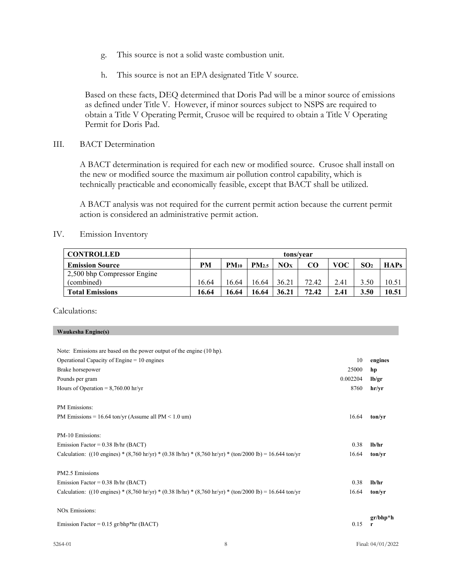- g. This source is not a solid waste combustion unit.
- h. This source is not an EPA designated Title V source.

Based on these facts, DEQ determined that Doris Pad will be a minor source of emissions as defined under Title V. However, if minor sources subject to NSPS are required to obtain a Title V Operating Permit, Crusoe will be required to obtain a Title V Operating Permit for Doris Pad.

III. BACT Determination

A BACT determination is required for each new or modified source. Crusoe shall install on the new or modified source the maximum air pollution control capability, which is technically practicable and economically feasible, except that BACT shall be utilized.

A BACT analysis was not required for the current permit action because the current permit action is considered an administrative permit action.

IV. Emission Inventory

| <b>CONTROLLED</b>           | tons/vear |           |                   |       |       |      |                 |             |
|-----------------------------|-----------|-----------|-------------------|-------|-------|------|-----------------|-------------|
| <b>Emission Source</b>      | PM        | $PM_{10}$ | PM <sub>2.5</sub> | NOx   | CO    | voc  | SO <sub>2</sub> | <b>HAPs</b> |
| 2,500 bhp Compressor Engine |           |           |                   |       |       |      |                 |             |
| (combined)                  | 6.64      | 16.64     | 16.64             | 36.21 | 72.42 | 2.41 | 3.50            | 10.51       |
| <b>Total Emissions</b>      | 16.64     | 16.64     | 16.64             | 36.21 | 72.42 | 2.41 | 3.50            | 10.51       |

Calculations:

#### **Waukesha Engine(s)**

| Note: Emissions are based on the power output of the engine (10 hp).                                      |          |                 |
|-----------------------------------------------------------------------------------------------------------|----------|-----------------|
| Operational Capacity of Engine $= 10$ engines                                                             | 10       | engines         |
| Brake horsepower                                                                                          | 25000    | hp              |
| Pounds per gram                                                                                           | 0.002204 | lb/gr           |
| Hours of Operation = $8,760.00$ hr/yr                                                                     | 8760     | hr/yr           |
|                                                                                                           |          |                 |
| PM Emissions:                                                                                             |          |                 |
| PM Emissions = $16.64$ ton/yr (Assume all PM < $1.0$ um)                                                  | 16.64    | ton/vr          |
|                                                                                                           |          |                 |
| PM-10 Emissions:                                                                                          |          |                 |
| Emission Factor = $0.38$ lb/hr (BACT)                                                                     | 0.38     | lb/hr           |
| Calculation: ((10 engines) * (8,760 hr/yr) * (0.38 lb/hr) * (8,760 hr/yr) * (ton/2000 lb) = 16.644 ton/yr | 16.64    | ton/yr          |
|                                                                                                           |          |                 |
| PM2.5 Emissions                                                                                           |          |                 |
| Emission Factor = $0.38$ lb/hr (BACT)                                                                     | 0.38     | lb/hr           |
| Calculation: ((10 engines) * (8,760 hr/yr) * (0.38 lb/hr) * (8,760 hr/yr) * (ton/2000 lb) = 16.644 ton/yr | 16.64    | ton/yr          |
|                                                                                                           |          |                 |
| <b>NO<sub>x</sub></b> Emissions:                                                                          |          |                 |
| Emission Factor = $0.15$ gr/bhp*hr (BACT)                                                                 | 0.15     | $gr/bhp*h$<br>r |
|                                                                                                           |          |                 |
|                                                                                                           |          |                 |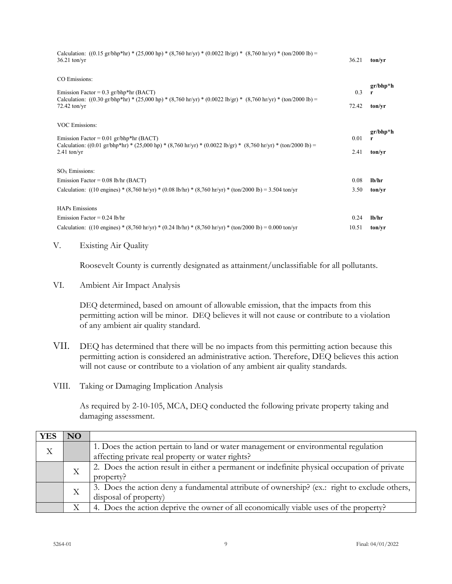| Calculation: $((0.15 \text{ gr/bhp*hr}) * (25,000 \text{ hp}) * (8,760 \text{ hr/yr}) * (0.0022 \text{ lb/gr}) * (8,760 \text{ hr/yr}) * (ton/2000 \text{ lb}) =$<br>$36.21$ ton/yr                                                                             | 36.21         | ton/vr                       |
|-----------------------------------------------------------------------------------------------------------------------------------------------------------------------------------------------------------------------------------------------------------------|---------------|------------------------------|
| CO Emissions:<br>Emission Factor = $0.3$ gr/bhp*hr (BACT)<br>Calculation: $((0.30 \text{ gr/bhp*hr}) * (25,000 \text{ hp}) * (8,760 \text{ hr/yr}) * (0.0022 \text{ lb/gr}) * (8,760 \text{ hr/yr}) * (ton/2000 \text{ lb}) =$<br>$72.42$ ton/yr                | 0.3<br>72.42  | $gr/bhp*h$<br>r<br>ton/vr    |
| <b>VOC Emissions:</b><br>Emission Factor = $0.01$ gr/bhp*hr (BACT)<br>Calculation: $((0.01 \text{ gr/bhp*hr}) * (25,000 \text{ hp}) * (8,760 \text{ hr/yr}) * (0.0022 \text{ lb/gr}) * (8,760 \text{ hr/yr}) * (\text{ton}/2000 \text{ lb}) =$<br>$2.41$ ton/yr | 0.01<br>2.41  | $gr/bhp*h$<br>r<br>ton/vr    |
| $SOx$ Emissions:<br>Emission Factor = $0.08$ lb/hr (BACT)<br>Calculation: ((10 engines) * (8,760 hr/yr) * (0.08 lb/hr) * (8,760 hr/yr) * (ton/2000 lb) = 3.504 ton/yr                                                                                           | 0.08<br>3.50  | $1h$ /hr<br>ton/yr           |
| <b>HAPs Emissions</b><br>Emission Factor = $0.24$ lb/hr<br>Calculation: ((10 engines) * $(8,760 \text{ hr/yr})$ * $(0.24 \text{ lb/hr})$ * $(8,760 \text{ hr/yr})$ * $(\text{ton}/2000 \text{ lb}) = 0.000 \text{ ton/yr}$                                      | 0.24<br>10.51 | 1 <sub>h</sub> /hr<br>ton/yr |

V. Existing Air Quality

Roosevelt County is currently designated as attainment/unclassifiable for all pollutants.

VI. Ambient Air Impact Analysis

DEQ determined, based on amount of allowable emission, that the impacts from this permitting action will be minor. DEQ believes it will not cause or contribute to a violation of any ambient air quality standard.

- VII. DEQ has determined that there will be no impacts from this permitting action because this permitting action is considered an administrative action. Therefore, DEQ believes this action will not cause or contribute to a violation of any ambient air quality standards.
- VIII. Taking or Damaging Implication Analysis

As required by 2-10-105, MCA, DEQ conducted the following private property taking and damaging assessment.

| <b>YES</b> | N <sub>O</sub> |                                                                                              |
|------------|----------------|----------------------------------------------------------------------------------------------|
| X          |                | 1. Does the action pertain to land or water management or environmental regulation           |
|            |                | affecting private real property or water rights?                                             |
|            | Χ              | 2. Does the action result in either a permanent or indefinite physical occupation of private |
|            |                | property?                                                                                    |
|            | Χ              | 3. Does the action deny a fundamental attribute of ownership? (ex.: right to exclude others, |
|            |                | disposal of property)                                                                        |
|            |                | 4. Does the action deprive the owner of all economically viable uses of the property?        |